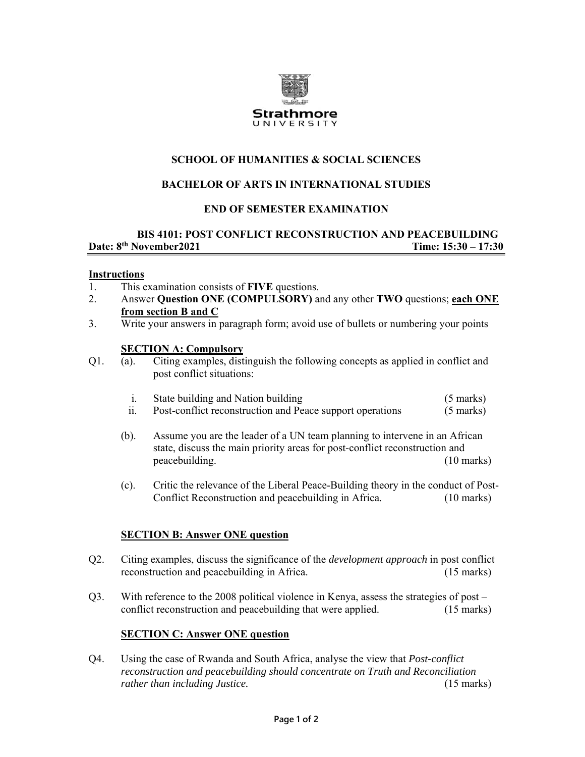

# **SCHOOL OF HUMANITIES & SOCIAL SCIENCES**

## **BACHELOR OF ARTS IN INTERNATIONAL STUDIES**

## **END OF SEMESTER EXAMINATION**

## **BIS 4101: POST CONFLICT RECONSTRUCTION AND PEACEBUILDING Date: 8th November2021** Time: 15:30 – 17:30

#### **Instructions**

- 1. This examination consists of **FIVE** questions.
- 2. Answer **Question ONE (COMPULSORY)** and any other **TWO** questions; **each ONE from section B and C**
- 3. Write your answers in paragraph form; avoid use of bullets or numbering your points

#### **SECTION A: Compulsory**

Q1. (a). Citing examples, distinguish the following concepts as applied in conflict and post conflict situations:

| State building and Nation building | $(5 \text{ marks})$ |  |
|------------------------------------|---------------------|--|
|                                    |                     |  |

- ii. Post-conflict reconstruction and Peace support operations (5 marks)
- (b). Assume you are the leader of a UN team planning to intervene in an African state, discuss the main priority areas for post-conflict reconstruction and peacebuilding. (10 marks)
- (c). Critic the relevance of the Liberal Peace-Building theory in the conduct of Post-Conflict Reconstruction and peacebuilding in Africa. (10 marks)

## **SECTION B: Answer ONE question**

- Q2. Citing examples, discuss the significance of the *development approach* in post conflict reconstruction and peacebuilding in Africa. (15 marks)
- Q3. With reference to the 2008 political violence in Kenya, assess the strategies of post conflict reconstruction and peacebuilding that were applied. (15 marks)

## **SECTION C: Answer ONE question**

Q4. Using the case of Rwanda and South Africa, analyse the view that *Post-conflict reconstruction and peacebuilding should concentrate on Truth and Reconciliation rather than including Justice.* (15 marks)